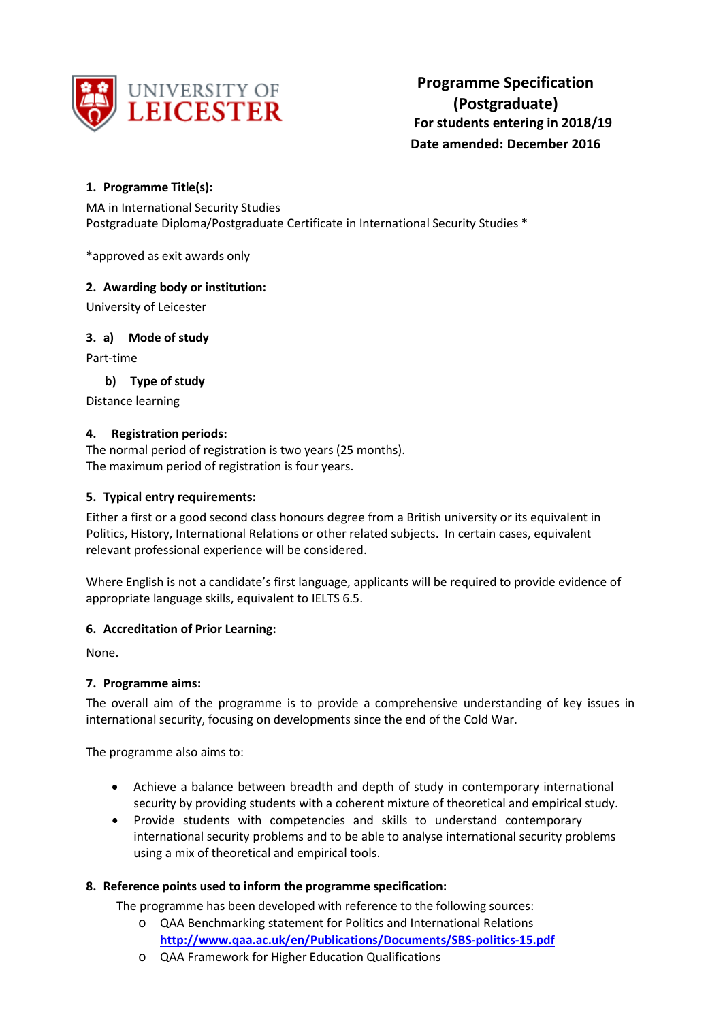

# **1. Programme Title(s):**

MA in International Security Studies Postgraduate Diploma/Postgraduate Certificate in International Security Studies \*

\*approved as exit awards only

## **2. Awarding body or institution:**

University of Leicester

**3. a) Mode of study**

Part-time

**b) Type of study**

Distance learning

## **4. Registration periods:**

The normal period of registration is two years (25 months). The maximum period of registration is four years.

## **5. Typical entry requirements:**

Either a first or a good second class honours degree from a British university or its equivalent in Politics, History, International Relations or other related subjects. In certain cases, equivalent relevant professional experience will be considered.

Where English is not a candidate's first language, applicants will be required to provide evidence of appropriate language skills, equivalent to IELTS 6.5.

## **6. Accreditation of Prior Learning:**

None.

## **7. Programme aims:**

The overall aim of the programme is to provide a comprehensive understanding of key issues in international security, focusing on developments since the end of the Cold War.

The programme also aims to:

- Achieve a balance between breadth and depth of study in contemporary international security by providing students with a coherent mixture of theoretical and empirical study.
- Provide students with competencies and skills to understand contemporary international security problems and to be able to analyse international security problems using a mix of theoretical and empirical tools.

## **8. Reference points used to inform the programme specification:**

The programme has been developed with reference to the following sources:

- o QAA Benchmarking statement for Politics and International Relations **<http://www.qaa.ac.uk/en/Publications/Documents/SBS-politics-15.pdf>**
- o QAA Framework for Higher Education Qualifications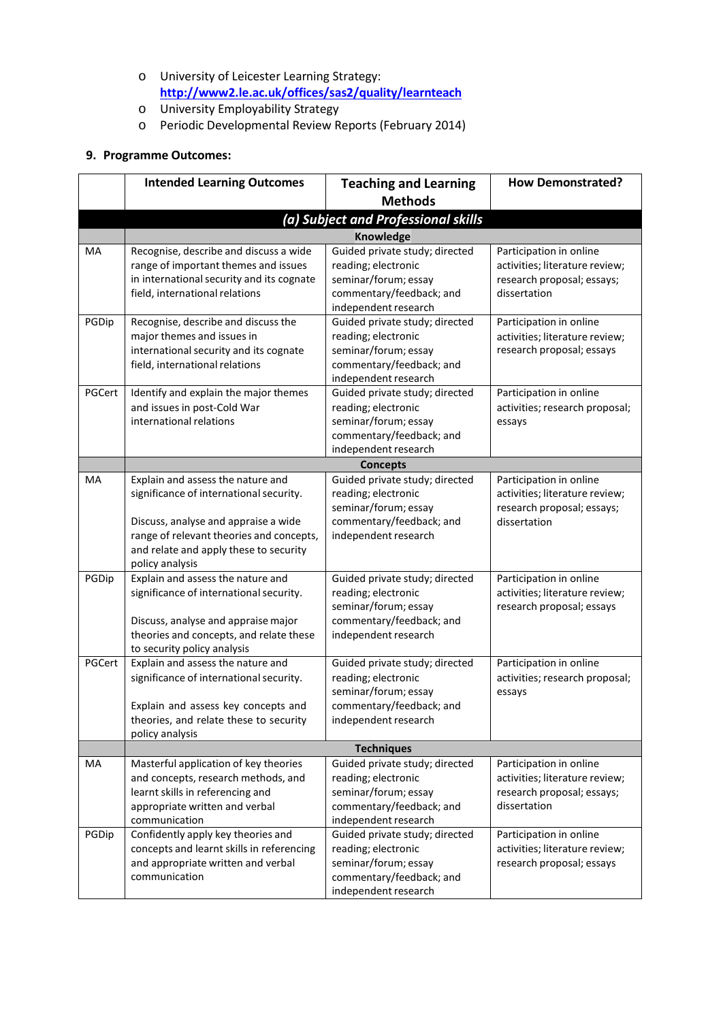- o University of Leicester Learning Strategy: **<http://www2.le.ac.uk/offices/sas2/quality/learnteach>**
- o University Employability Strategy
- o Periodic Developmental Review Reports (February 2014)

# **9. Programme Outcomes:**

|        | <b>Intended Learning Outcomes</b>                                       | <b>Teaching and Learning</b>                          | <b>How Demonstrated?</b>                                     |
|--------|-------------------------------------------------------------------------|-------------------------------------------------------|--------------------------------------------------------------|
|        |                                                                         | <b>Methods</b>                                        |                                                              |
|        |                                                                         | (a) Subject and Professional skills                   |                                                              |
|        |                                                                         | Knowledge                                             |                                                              |
| MA     | Recognise, describe and discuss a wide                                  | Guided private study; directed                        | Participation in online                                      |
|        | range of important themes and issues                                    | reading; electronic                                   | activities; literature review;                               |
|        | in international security and its cognate                               | seminar/forum; essay                                  | research proposal; essays;                                   |
|        | field, international relations                                          | commentary/feedback; and                              | dissertation                                                 |
|        |                                                                         | independent research                                  |                                                              |
| PGDip  | Recognise, describe and discuss the                                     | Guided private study; directed                        | Participation in online                                      |
|        | major themes and issues in                                              | reading; electronic                                   | activities; literature review;                               |
|        | international security and its cognate                                  | seminar/forum; essay                                  | research proposal; essays                                    |
|        | field, international relations                                          | commentary/feedback; and                              |                                                              |
|        |                                                                         | independent research                                  |                                                              |
| PGCert | Identify and explain the major themes                                   | Guided private study; directed                        | Participation in online                                      |
|        | and issues in post-Cold War                                             | reading; electronic                                   | activities; research proposal;                               |
|        | international relations                                                 | seminar/forum; essay                                  | essays                                                       |
|        |                                                                         | commentary/feedback; and                              |                                                              |
|        |                                                                         | independent research<br><b>Concepts</b>               |                                                              |
| MA     | Explain and assess the nature and                                       | Guided private study; directed                        | Participation in online                                      |
|        | significance of international security.                                 | reading; electronic                                   | activities; literature review;                               |
|        |                                                                         | seminar/forum; essay                                  | research proposal; essays;                                   |
|        | Discuss, analyse and appraise a wide                                    | commentary/feedback; and                              | dissertation                                                 |
|        | range of relevant theories and concepts,                                | independent research                                  |                                                              |
|        | and relate and apply these to security                                  |                                                       |                                                              |
|        | policy analysis                                                         |                                                       |                                                              |
| PGDip  | Explain and assess the nature and                                       | Guided private study; directed                        | Participation in online                                      |
|        | significance of international security.                                 | reading; electronic                                   | activities; literature review;                               |
|        |                                                                         | seminar/forum; essay                                  | research proposal; essays                                    |
|        | Discuss, analyse and appraise major                                     | commentary/feedback; and                              |                                                              |
|        | theories and concepts, and relate these                                 | independent research                                  |                                                              |
|        | to security policy analysis                                             |                                                       |                                                              |
| PGCert | Explain and assess the nature and                                       | Guided private study; directed                        | Participation in online                                      |
|        | significance of international security.                                 | reading; electronic                                   | activities; research proposal;                               |
|        |                                                                         | seminar/forum; essay                                  | essays                                                       |
|        | Explain and assess key concepts and                                     | commentary/feedback; and                              |                                                              |
|        | theories, and relate these to security                                  | independent research                                  |                                                              |
|        | policy analysis                                                         |                                                       |                                                              |
|        | Masterful application of key theories                                   | <b>Techniques</b>                                     | Participation in online                                      |
| MA     |                                                                         | Guided private study; directed<br>reading; electronic |                                                              |
|        | and concepts, research methods, and<br>learnt skills in referencing and | seminar/forum; essay                                  | activities; literature review;<br>research proposal; essays; |
|        | appropriate written and verbal                                          | commentary/feedback; and                              | dissertation                                                 |
|        | communication                                                           | independent research                                  |                                                              |
| PGDip  | Confidently apply key theories and                                      | Guided private study; directed                        | Participation in online                                      |
|        | concepts and learnt skills in referencing                               | reading; electronic                                   | activities; literature review;                               |
|        | and appropriate written and verbal                                      | seminar/forum; essay                                  | research proposal; essays                                    |
|        | communication                                                           | commentary/feedback; and                              |                                                              |
|        |                                                                         | independent research                                  |                                                              |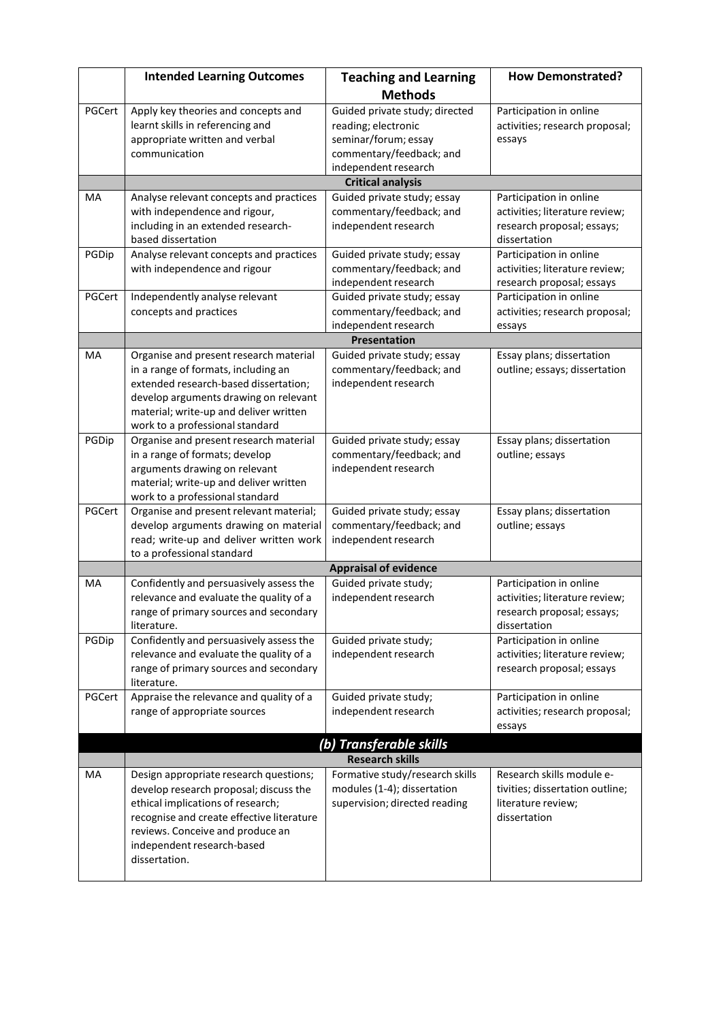|        | <b>Intended Learning Outcomes</b>                                                                                                                                                                                                                     | <b>Teaching and Learning</b>                                                                    | <b>How Demonstrated?</b>                                                                                |  |
|--------|-------------------------------------------------------------------------------------------------------------------------------------------------------------------------------------------------------------------------------------------------------|-------------------------------------------------------------------------------------------------|---------------------------------------------------------------------------------------------------------|--|
|        |                                                                                                                                                                                                                                                       | <b>Methods</b>                                                                                  |                                                                                                         |  |
| PGCert | Apply key theories and concepts and<br>learnt skills in referencing and<br>appropriate written and verbal                                                                                                                                             | Guided private study; directed<br>reading; electronic<br>seminar/forum; essay                   | Participation in online<br>activities; research proposal;<br>essays                                     |  |
|        | communication                                                                                                                                                                                                                                         | commentary/feedback; and                                                                        |                                                                                                         |  |
|        |                                                                                                                                                                                                                                                       | independent research<br><b>Critical analysis</b>                                                |                                                                                                         |  |
| MA     | Analyse relevant concepts and practices                                                                                                                                                                                                               | Guided private study; essay                                                                     | Participation in online                                                                                 |  |
|        | with independence and rigour,<br>including in an extended research-<br>based dissertation                                                                                                                                                             | commentary/feedback; and<br>independent research                                                | activities; literature review;<br>research proposal; essays;<br>dissertation                            |  |
| PGDip  | Analyse relevant concepts and practices<br>with independence and rigour                                                                                                                                                                               | Guided private study; essay<br>commentary/feedback; and<br>independent research                 | Participation in online<br>activities; literature review;<br>research proposal; essays                  |  |
| PGCert | Independently analyse relevant<br>concepts and practices                                                                                                                                                                                              | Guided private study; essay<br>commentary/feedback; and<br>independent research                 | Participation in online<br>activities; research proposal;<br>essays                                     |  |
|        |                                                                                                                                                                                                                                                       | <b>Presentation</b>                                                                             |                                                                                                         |  |
| MA     | Organise and present research material<br>in a range of formats, including an<br>extended research-based dissertation;<br>develop arguments drawing on relevant<br>material; write-up and deliver written                                             | Guided private study; essay<br>commentary/feedback; and<br>independent research                 | Essay plans; dissertation<br>outline; essays; dissertation                                              |  |
|        | work to a professional standard                                                                                                                                                                                                                       |                                                                                                 |                                                                                                         |  |
| PGDip  | Organise and present research material<br>in a range of formats; develop<br>arguments drawing on relevant                                                                                                                                             | Guided private study; essay<br>commentary/feedback; and<br>independent research                 | Essay plans; dissertation<br>outline; essays                                                            |  |
|        | material; write-up and deliver written<br>work to a professional standard                                                                                                                                                                             |                                                                                                 |                                                                                                         |  |
| PGCert | Organise and present relevant material;<br>develop arguments drawing on material<br>read; write-up and deliver written work<br>to a professional standard                                                                                             | Guided private study; essay<br>commentary/feedback; and<br>independent research                 | Essay plans; dissertation<br>outline; essays                                                            |  |
|        | <b>Appraisal of evidence</b>                                                                                                                                                                                                                          |                                                                                                 |                                                                                                         |  |
| MA     | Confidently and persuasively assess the<br>relevance and evaluate the quality of a<br>range of primary sources and secondary<br>literature.                                                                                                           | Guided private study;<br>independent research                                                   | Participation in online<br>activities; literature review;<br>research proposal; essays;<br>dissertation |  |
| PGDip  | Confidently and persuasively assess the<br>relevance and evaluate the quality of a<br>range of primary sources and secondary<br>literature.                                                                                                           | Guided private study;<br>independent research                                                   | Participation in online<br>activities; literature review;<br>research proposal; essays                  |  |
| PGCert | Appraise the relevance and quality of a<br>range of appropriate sources                                                                                                                                                                               | Guided private study;<br>independent research                                                   | Participation in online<br>activities; research proposal;<br>essays                                     |  |
|        |                                                                                                                                                                                                                                                       | (b) Transferable skills                                                                         |                                                                                                         |  |
|        |                                                                                                                                                                                                                                                       | <b>Research skills</b>                                                                          |                                                                                                         |  |
| MA     | Design appropriate research questions;<br>develop research proposal; discuss the<br>ethical implications of research;<br>recognise and create effective literature<br>reviews. Conceive and produce an<br>independent research-based<br>dissertation. | Formative study/research skills<br>modules (1-4); dissertation<br>supervision; directed reading | Research skills module e-<br>tivities; dissertation outline;<br>literature review;<br>dissertation      |  |
|        |                                                                                                                                                                                                                                                       |                                                                                                 |                                                                                                         |  |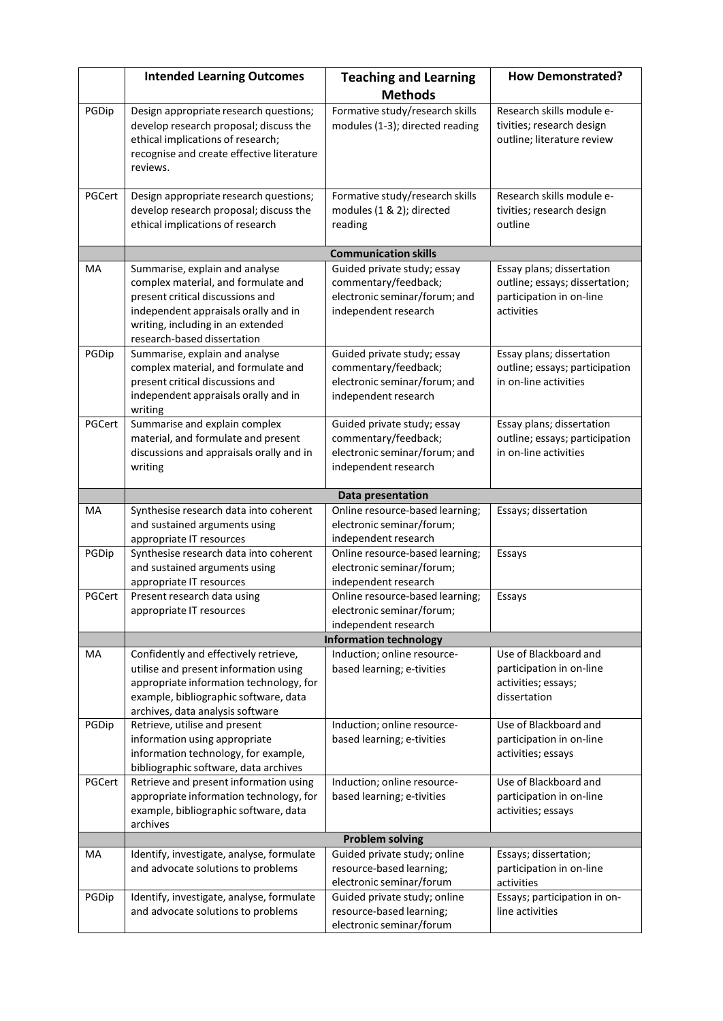|             | <b>Intended Learning Outcomes</b>                                                                                                                                                                                                       | <b>Teaching and Learning</b>                                                                                 | <b>How Demonstrated?</b>                                                                                          |
|-------------|-----------------------------------------------------------------------------------------------------------------------------------------------------------------------------------------------------------------------------------------|--------------------------------------------------------------------------------------------------------------|-------------------------------------------------------------------------------------------------------------------|
|             |                                                                                                                                                                                                                                         | <b>Methods</b>                                                                                               |                                                                                                                   |
| PGDip       | Design appropriate research questions;<br>develop research proposal; discuss the<br>ethical implications of research;<br>recognise and create effective literature<br>reviews.                                                          | Formative study/research skills<br>modules (1-3); directed reading                                           | Research skills module e-<br>tivities; research design<br>outline; literature review                              |
| PGCert      | Design appropriate research questions;<br>develop research proposal; discuss the<br>ethical implications of research                                                                                                                    | Formative study/research skills<br>modules (1 & 2); directed<br>reading                                      | Research skills module e-<br>tivities; research design<br>outline                                                 |
|             |                                                                                                                                                                                                                                         | <b>Communication skills</b>                                                                                  |                                                                                                                   |
| MA          | Summarise, explain and analyse<br>complex material, and formulate and<br>present critical discussions and<br>independent appraisals orally and in<br>writing, including in an extended<br>research-based dissertation                   | Guided private study; essay<br>commentary/feedback;<br>electronic seminar/forum; and<br>independent research | Essay plans; dissertation<br>outline; essays; dissertation;<br>participation in on-line<br>activities             |
| PGDip       | Summarise, explain and analyse<br>complex material, and formulate and<br>present critical discussions and<br>independent appraisals orally and in<br>writing                                                                            | Guided private study; essay<br>commentary/feedback;<br>electronic seminar/forum; and<br>independent research | Essay plans; dissertation<br>outline; essays; participation<br>in on-line activities                              |
| PGCert      | Summarise and explain complex<br>material, and formulate and present<br>discussions and appraisals orally and in<br>writing                                                                                                             | Guided private study; essay<br>commentary/feedback;<br>electronic seminar/forum; and<br>independent research | Essay plans; dissertation<br>outline; essays; participation<br>in on-line activities                              |
|             |                                                                                                                                                                                                                                         | Data presentation                                                                                            |                                                                                                                   |
| MA          | Synthesise research data into coherent<br>and sustained arguments using<br>appropriate IT resources                                                                                                                                     | Online resource-based learning;<br>electronic seminar/forum;<br>independent research                         | Essays; dissertation                                                                                              |
| PGDip       | Synthesise research data into coherent<br>and sustained arguments using<br>appropriate IT resources                                                                                                                                     | Online resource-based learning;<br>electronic seminar/forum;<br>independent research                         | Essays                                                                                                            |
| PGCert      | Present research data using<br>appropriate IT resources                                                                                                                                                                                 | Online resource-based learning;<br>electronic seminar/forum;<br>independent research                         | Essays                                                                                                            |
|             | <b>Information technology</b>                                                                                                                                                                                                           |                                                                                                              |                                                                                                                   |
| MA<br>PGDip | Confidently and effectively retrieve,<br>utilise and present information using<br>appropriate information technology, for<br>example, bibliographic software, data<br>archives, data analysis software<br>Retrieve, utilise and present | Induction; online resource-<br>based learning; e-tivities<br>Induction; online resource-                     | Use of Blackboard and<br>participation in on-line<br>activities; essays;<br>dissertation<br>Use of Blackboard and |
|             | information using appropriate<br>information technology, for example,<br>bibliographic software, data archives                                                                                                                          | based learning; e-tivities                                                                                   | participation in on-line<br>activities; essays                                                                    |
| PGCert      | Retrieve and present information using<br>appropriate information technology, for<br>example, bibliographic software, data<br>archives                                                                                                  | Induction; online resource-<br>based learning; e-tivities                                                    | Use of Blackboard and<br>participation in on-line<br>activities; essays                                           |
|             |                                                                                                                                                                                                                                         | <b>Problem solving</b>                                                                                       |                                                                                                                   |
| MA          | Identify, investigate, analyse, formulate<br>and advocate solutions to problems                                                                                                                                                         | Guided private study; online<br>resource-based learning;<br>electronic seminar/forum                         | Essays; dissertation;<br>participation in on-line<br>activities                                                   |
| PGDip       | Identify, investigate, analyse, formulate<br>and advocate solutions to problems                                                                                                                                                         | Guided private study; online<br>resource-based learning;<br>electronic seminar/forum                         | Essays; participation in on-<br>line activities                                                                   |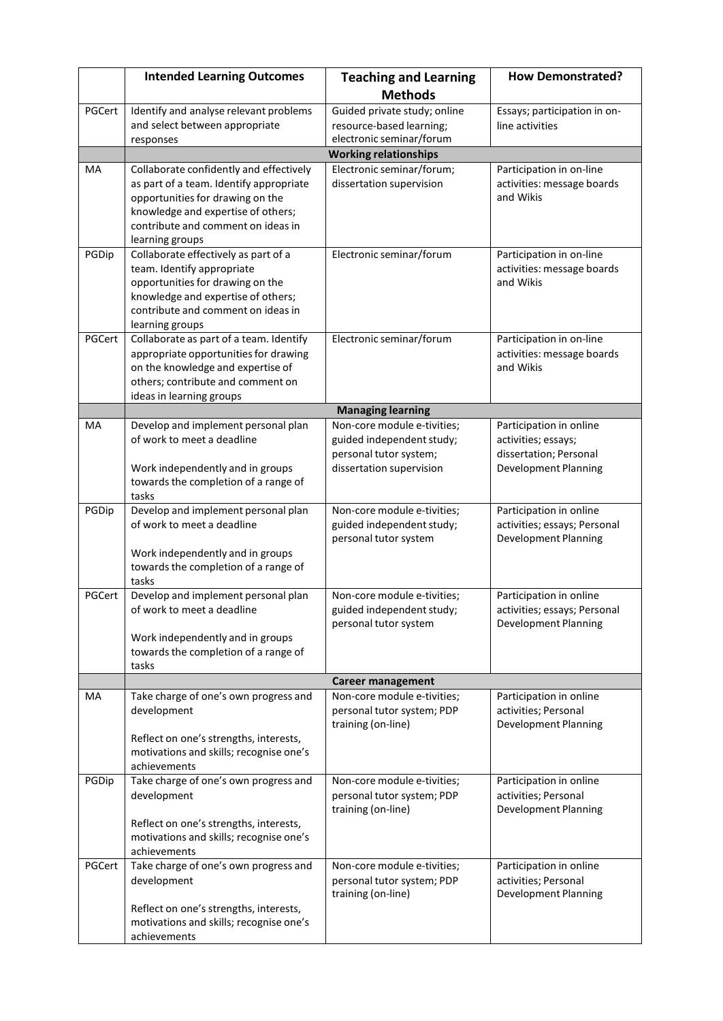|        | <b>Intended Learning Outcomes</b>                                                                                                                                                                                     | <b>Teaching and Learning</b>                                                                                   | <b>How Demonstrated?</b>                                                                                |  |
|--------|-----------------------------------------------------------------------------------------------------------------------------------------------------------------------------------------------------------------------|----------------------------------------------------------------------------------------------------------------|---------------------------------------------------------------------------------------------------------|--|
|        |                                                                                                                                                                                                                       | <b>Methods</b>                                                                                                 |                                                                                                         |  |
| PGCert | Identify and analyse relevant problems<br>and select between appropriate                                                                                                                                              | Guided private study; online<br>resource-based learning;                                                       | Essays; participation in on-<br>line activities                                                         |  |
|        | responses                                                                                                                                                                                                             | electronic seminar/forum                                                                                       |                                                                                                         |  |
|        |                                                                                                                                                                                                                       | <b>Working relationships</b>                                                                                   |                                                                                                         |  |
| MA     | Collaborate confidently and effectively<br>as part of a team. Identify appropriate<br>opportunities for drawing on the<br>knowledge and expertise of others;<br>contribute and comment on ideas in<br>learning groups | Electronic seminar/forum;<br>dissertation supervision                                                          | Participation in on-line<br>activities: message boards<br>and Wikis                                     |  |
| PGDip  | Collaborate effectively as part of a<br>team. Identify appropriate<br>opportunities for drawing on the<br>knowledge and expertise of others;<br>contribute and comment on ideas in<br>learning groups                 | Electronic seminar/forum                                                                                       | Participation in on-line<br>activities: message boards<br>and Wikis                                     |  |
| PGCert | Collaborate as part of a team. Identify<br>appropriate opportunities for drawing<br>on the knowledge and expertise of<br>others; contribute and comment on<br>ideas in learning groups                                | Electronic seminar/forum                                                                                       | Participation in on-line<br>activities: message boards<br>and Wikis                                     |  |
|        |                                                                                                                                                                                                                       | <b>Managing learning</b>                                                                                       |                                                                                                         |  |
| MA     | Develop and implement personal plan<br>of work to meet a deadline<br>Work independently and in groups<br>towards the completion of a range of<br>tasks                                                                | Non-core module e-tivities;<br>guided independent study;<br>personal tutor system;<br>dissertation supervision | Participation in online<br>activities; essays;<br>dissertation; Personal<br><b>Development Planning</b> |  |
| PGDip  | Develop and implement personal plan<br>of work to meet a deadline<br>Work independently and in groups<br>towards the completion of a range of<br>tasks                                                                | Non-core module e-tivities;<br>guided independent study;<br>personal tutor system                              | Participation in online<br>activities; essays; Personal<br><b>Development Planning</b>                  |  |
| PGCert | Develop and implement personal plan<br>of work to meet a deadline<br>Work independently and in groups<br>towards the completion of a range of<br>tasks                                                                | Non-core module e-tivities;<br>guided independent study;<br>personal tutor system                              | Participation in online<br>activities; essays; Personal<br><b>Development Planning</b>                  |  |
|        |                                                                                                                                                                                                                       | <b>Career management</b>                                                                                       |                                                                                                         |  |
| MA     | Take charge of one's own progress and<br>development<br>Reflect on one's strengths, interests,<br>motivations and skills; recognise one's<br>achievements                                                             | Non-core module e-tivities;<br>personal tutor system; PDP<br>training (on-line)                                | Participation in online<br>activities; Personal<br><b>Development Planning</b>                          |  |
| PGDip  | Take charge of one's own progress and<br>development<br>Reflect on one's strengths, interests,<br>motivations and skills; recognise one's<br>achievements                                                             | Non-core module e-tivities;<br>personal tutor system; PDP<br>training (on-line)                                | Participation in online<br>activities; Personal<br><b>Development Planning</b>                          |  |
| PGCert | Take charge of one's own progress and<br>development<br>Reflect on one's strengths, interests,<br>motivations and skills; recognise one's<br>achievements                                                             | Non-core module e-tivities;<br>personal tutor system; PDP<br>training (on-line)                                | Participation in online<br>activities; Personal<br><b>Development Planning</b>                          |  |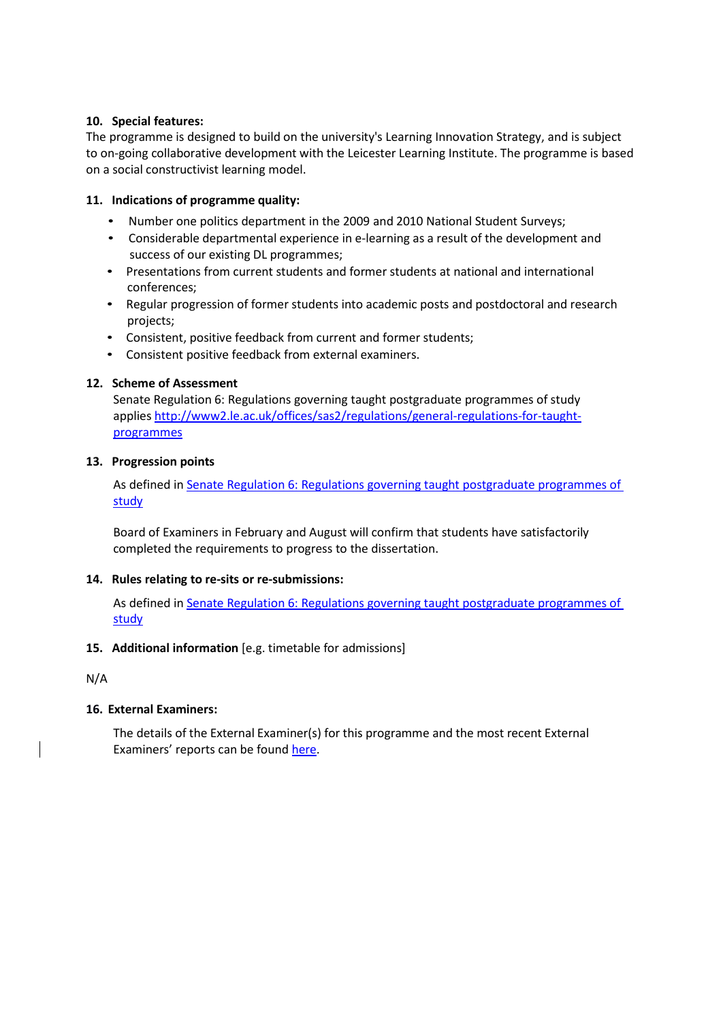## **10. Special features:**

The programme is designed to build on the university's Learning Innovation Strategy, and is subject to on-going collaborative development with the Leicester Learning Institute. The programme is based on a social constructivist learning model.

# **11. Indications of programme quality:**

- Number one politics department in the 2009 and 2010 National Student Surveys;
- Considerable departmental experience in e-learning as a result of the development and success of our existing DL programmes;
- Presentations from current students and former students at national and international conferences;
- Regular progression of former students into academic posts and postdoctoral and research projects;
- Consistent, positive feedback from current and former students;
- Consistent positive feedback from external examiners.

## **12. Scheme of Assessment**

Senate Regulation 6: Regulations governing taught postgraduate programmes of study applies [http://www2.le.ac.uk/offices/sas2/regulations/general-regulations-for-taught](http://www2.le.ac.uk/offices/sas2/regulations/general-regulations-for-taught-programmes)[programmes](http://www2.le.ac.uk/offices/sas2/regulations/general-regulations-for-taught-programmes)

## **13. Progression points**

As defined in Senate Regulation 6: [Regulations governing taught](http://www2.le.ac.uk/offices/sas2/regulations/general-regulations-for-taught-programmes) postgraduate programmes of [study](http://www2.le.ac.uk/offices/sas2/regulations/general-regulations-for-taught-programmes)

Board of Examiners in February and August will confirm that students have satisfactorily completed the requirements to progress to the dissertation.

## **14. Rules relating to re-sits or re-submissions:**

As defined in Senate Regulation 6: [Regulations governing taught](http://www2.le.ac.uk/offices/sas2/regulations/general-regulations-for-taught-programmes) postgraduate programmes of [study](http://www2.le.ac.uk/offices/sas2/regulations/general-regulations-for-taught-programmes)

## **15. Additional information** [e.g. timetable for admissions]

N/A

# **16. External Examiners:**

The details of the External Examiner(s) for this programme and the most recent External Examiners' reports can be foun[d here.](https://exampapers.le.ac.uk/xmlui/handle/123456789/227)